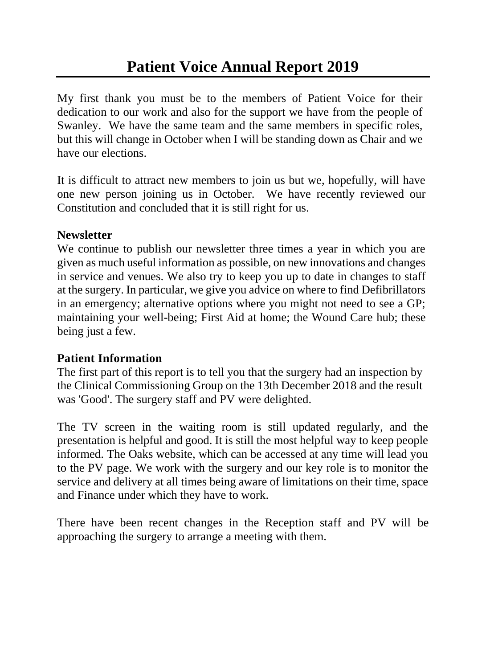My first thank you must be to the members of Patient Voice for their dedication to our work and also for the support we have from the people of Swanley. We have the same team and the same members in specific roles, but this will change in October when I will be standing down as Chair and we have our elections.

It is difficult to attract new members to join us but we, hopefully, will have one new person joining us in October. We have recently reviewed our Constitution and concluded that it is still right for us.

## **Newsletter**

We continue to publish our newsletter three times a year in which you are given as much useful information as possible, on new innovations and changes in service and venues. We also try to keep you up to date in changes to staff at the surgery. In particular, we give you advice on where to find Defibrillators in an emergency; alternative options where you might not need to see a GP; maintaining your well-being; First Aid at home; the Wound Care hub; these being just a few.

## **Patient Information**

The first part of this report is to tell you that the surgery had an inspection by the Clinical Commissioning Group on the 13th December 2018 and the result was 'Good'. The surgery staff and PV were delighted.

The TV screen in the waiting room is still updated regularly, and the presentation is helpful and good. It is still the most helpful way to keep people informed. The Oaks website, which can be accessed at any time will lead you to the PV page. We work with the surgery and our key role is to monitor the service and delivery at all times being aware of limitations on their time, space and Finance under which they have to work.

There have been recent changes in the Reception staff and PV will be approaching the surgery to arrange a meeting with them.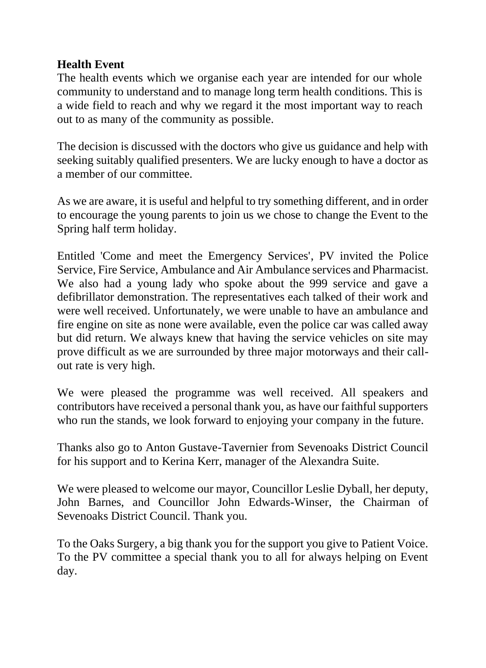## **Health Event**

The health events which we organise each year are intended for our whole community to understand and to manage long term health conditions. This is a wide field to reach and why we regard it the most important way to reach out to as many of the community as possible.

The decision is discussed with the doctors who give us guidance and help with seeking suitably qualified presenters. We are lucky enough to have a doctor as a member of our committee.

As we are aware, it is useful and helpful to try something different, and in order to encourage the young parents to join us we chose to change the Event to the Spring half term holiday.

Entitled 'Come and meet the Emergency Services', PV invited the Police Service, Fire Service, Ambulance and Air Ambulance services and Pharmacist. We also had a young lady who spoke about the 999 service and gave a defibrillator demonstration. The representatives each talked of their work and were well received. Unfortunately, we were unable to have an ambulance and fire engine on site as none were available, even the police car was called away but did return. We always knew that having the service vehicles on site may prove difficult as we are surrounded by three major motorways and their callout rate is very high.

We were pleased the programme was well received. All speakers and contributors have received a personal thank you, as have our faithful supporters who run the stands, we look forward to enjoying your company in the future.

Thanks also go to Anton Gustave-Tavernier from Sevenoaks District Council for his support and to Kerina Kerr, manager of the Alexandra Suite.

We were pleased to welcome our mayor, Councillor Leslie Dyball, her deputy, John Barnes, and Councillor John Edwards-Winser, the Chairman of Sevenoaks District Council. Thank you.

To the Oaks Surgery, a big thank you for the support you give to Patient Voice. To the PV committee a special thank you to all for always helping on Event day.